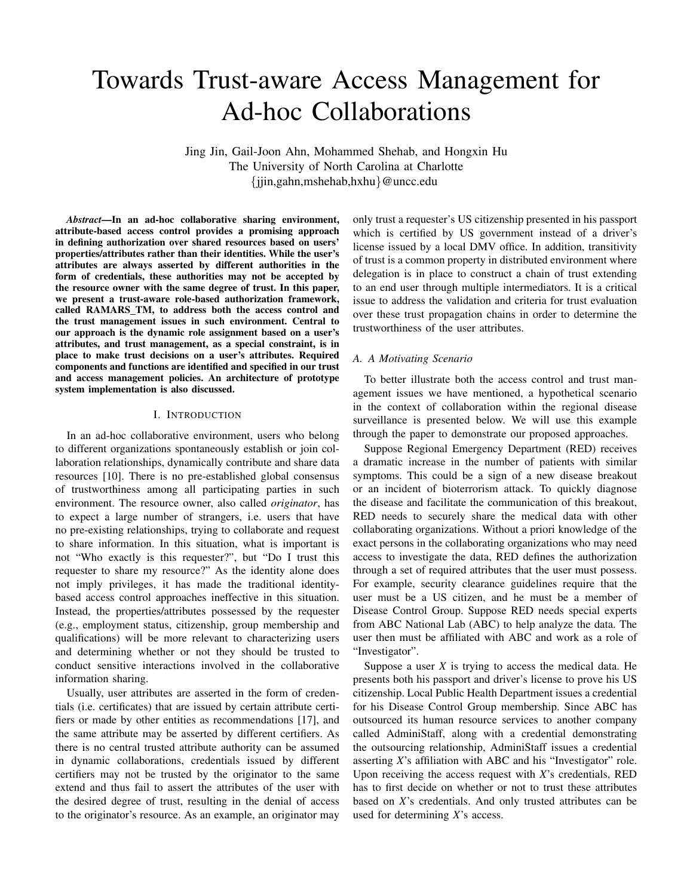# Towards Trust-aware Access Management for Ad-hoc Collaborations

Jing Jin, Gail-Joon Ahn, Mohammed Shehab, and Hongxin Hu The University of North Carolina at Charlotte {jjin,gahn,mshehab,hxhu}@uncc.edu

*Abstract*—In an ad-hoc collaborative sharing environment, attribute-based access control provides a promising approach in defining authorization over shared resources based on users' properties/attributes rather than their identities. While the user's attributes are always asserted by different authorities in the form of credentials, these authorities may not be accepted by the resource owner with the same degree of trust. In this paper, we present a trust-aware role-based authorization framework, called RAMARS\_TM, to address both the access control and the trust management issues in such environment. Central to our approach is the dynamic role assignment based on a user's attributes, and trust management, as a special constraint, is in place to make trust decisions on a user's attributes. Required components and functions are identified and specified in our trust and access management policies. An architecture of prototype system implementation is also discussed.

#### I. INTRODUCTION

In an ad-hoc collaborative environment, users who belong to different organizations spontaneously establish or join collaboration relationships, dynamically contribute and share data resources [10]. There is no pre-established global consensus of trustworthiness among all participating parties in such environment. The resource owner, also called *originator*, has to expect a large number of strangers, i.e. users that have no pre-existing relationships, trying to collaborate and request to share information. In this situation, what is important is not "Who exactly is this requester?", but "Do I trust this requester to share my resource?" As the identity alone does not imply privileges, it has made the traditional identitybased access control approaches ineffective in this situation. Instead, the properties/attributes possessed by the requester (e.g., employment status, citizenship, group membership and qualifications) will be more relevant to characterizing users and determining whether or not they should be trusted to conduct sensitive interactions involved in the collaborative information sharing.

Usually, user attributes are asserted in the form of credentials (i.e. certificates) that are issued by certain attribute certifiers or made by other entities as recommendations [17], and the same attribute may be asserted by different certifiers. As there is no central trusted attribute authority can be assumed in dynamic collaborations, credentials issued by different certifiers may not be trusted by the originator to the same extend and thus fail to assert the attributes of the user with the desired degree of trust, resulting in the denial of access to the originator's resource. As an example, an originator may only trust a requester's US citizenship presented in his passport which is certified by US government instead of a driver's license issued by a local DMV office. In addition, transitivity of trust is a common property in distributed environment where delegation is in place to construct a chain of trust extending to an end user through multiple intermediators. It is a critical issue to address the validation and criteria for trust evaluation over these trust propagation chains in order to determine the trustworthiness of the user attributes.

## *A. A Motivating Scenario*

To better illustrate both the access control and trust management issues we have mentioned, a hypothetical scenario in the context of collaboration within the regional disease surveillance is presented below. We will use this example through the paper to demonstrate our proposed approaches.

Suppose Regional Emergency Department (RED) receives a dramatic increase in the number of patients with similar symptoms. This could be a sign of a new disease breakout or an incident of bioterrorism attack. To quickly diagnose the disease and facilitate the communication of this breakout, RED needs to securely share the medical data with other collaborating organizations. Without a priori knowledge of the exact persons in the collaborating organizations who may need access to investigate the data, RED defines the authorization through a set of required attributes that the user must possess. For example, security clearance guidelines require that the user must be a US citizen, and he must be a member of Disease Control Group. Suppose RED needs special experts from ABC National Lab (ABC) to help analyze the data. The user then must be affiliated with ABC and work as a role of "Investigator".

Suppose a user  $X$  is trying to access the medical data. He presents both his passport and driver's license to prove his US citizenship. Local Public Health Department issues a credential for his Disease Control Group membership. Since ABC has outsourced its human resource services to another company called AdminiStaff, along with a credential demonstrating the outsourcing relationship, AdminiStaff issues a credential asserting *X*'s affiliation with ABC and his "Investigator" role. Upon receiving the access request with *X*'s credentials, RED has to first decide on whether or not to trust these attributes based on *X*'s credentials. And only trusted attributes can be used for determining *X*'s access.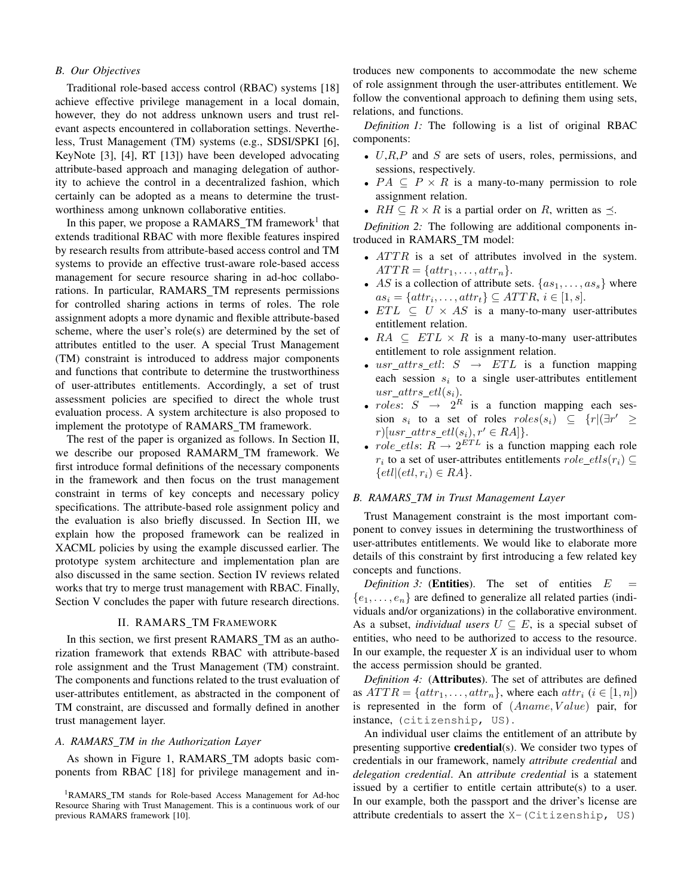### *B. Our Objectives*

Traditional role-based access control (RBAC) systems [18] achieve effective privilege management in a local domain, however, they do not address unknown users and trust relevant aspects encountered in collaboration settings. Nevertheless, Trust Management (TM) systems (e.g., SDSI/SPKI [6], KeyNote [3], [4], RT [13]) have been developed advocating attribute-based approach and managing delegation of authority to achieve the control in a decentralized fashion, which certainly can be adopted as a means to determine the trustworthiness among unknown collaborative entities.

In this paper, we propose a RAMARS\_TM framework<sup>1</sup> that extends traditional RBAC with more flexible features inspired by research results from attribute-based access control and TM systems to provide an effective trust-aware role-based access management for secure resource sharing in ad-hoc collaborations. In particular, RAMARS\_TM represents permissions for controlled sharing actions in terms of roles. The role assignment adopts a more dynamic and flexible attribute-based scheme, where the user's role(s) are determined by the set of attributes entitled to the user. A special Trust Management (TM) constraint is introduced to address major components and functions that contribute to determine the trustworthiness of user-attributes entitlements. Accordingly, a set of trust assessment policies are specified to direct the whole trust evaluation process. A system architecture is also proposed to implement the prototype of RAMARS TM framework.

The rest of the paper is organized as follows. In Section II, we describe our proposed RAMARM TM framework. We first introduce formal definitions of the necessary components in the framework and then focus on the trust management constraint in terms of key concepts and necessary policy specifications. The attribute-based role assignment policy and the evaluation is also briefly discussed. In Section III, we explain how the proposed framework can be realized in XACML policies by using the example discussed earlier. The prototype system architecture and implementation plan are also discussed in the same section. Section IV reviews related works that try to merge trust management with RBAC. Finally, Section V concludes the paper with future research directions.

#### II. RAMARS\_TM FRAMEWORK

In this section, we first present RAMARS\_TM as an authorization framework that extends RBAC with attribute-based role assignment and the Trust Management (TM) constraint. The components and functions related to the trust evaluation of user-attributes entitlement, as abstracted in the component of TM constraint, are discussed and formally defined in another trust management layer.

## *A. RAMARS TM in the Authorization Layer*

As shown in Figure 1, RAMARS TM adopts basic components from RBAC [18] for privilege management and in-

troduces new components to accommodate the new scheme of role assignment through the user-attributes entitlement. We follow the conventional approach to defining them using sets, relations, and functions.

*Definition 1:* The following is a list of original RBAC components:

- $U, R, P$  and  $S$  are sets of users, roles, permissions, and sessions, respectively.
- $PA \subseteq P \times R$  is a many-to-many permission to role assignment relation.
- $RH \subseteq R \times R$  is a partial order on R, written as  $\preceq$ .

*Definition 2:* The following are additional components introduced in RAMARS TM model:

- $ATTR$  is a set of attributes involved in the system.  $ATTR = \{attr_1, \ldots, attr_n\}.$
- AS is a collection of attribute sets.  $\{as_1, \ldots, as_s\}$  where  $as_i = \{attr_i, \ldots, attr_t\} \subseteq ATTR, i \in [1, s].$
- $ETL \subseteq U \times AS$  is a many-to-many user-attributes entitlement relation.
- $RA \subseteq ETL \times R$  is a many-to-many user-attributes entitlement to role assignment relation.
- usr\_attrs\_etl:  $S \rightarrow ETL$  is a function mapping each session  $s_i$  to a single user-attributes entitlement  $usr\_attrs\_etl(s_i).$
- roles:  $S \rightarrow 2^R$  is a function mapping each session  $s_i$  to a set of roles  $roles(s_i) \subseteq \{r | (\exists r' \geq 0 \land r) \in r \}$  $r)[usr\_attrs\_etl(s_i), r' \in RA]\}.$
- $role\_etls$ :  $R \rightarrow 2^{ETL}$  is a function mapping each role  $r_i$  to a set of user-attributes entitlements  $role\_etls(r_i) \subseteq$  $\{etl|(etl, r_i) \in RA\}.$

## *B. RAMARS TM in Trust Management Layer*

Trust Management constraint is the most important component to convey issues in determining the trustworthiness of user-attributes entitlements. We would like to elaborate more details of this constraint by first introducing a few related key concepts and functions.

*Definition 3:* (Entities). The set of entities  $E$  ${e_1, \ldots, e_n}$  are defined to generalize all related parties (individuals and/or organizations) in the collaborative environment. As a subset, *individual users*  $U \subseteq E$ , is a special subset of entities, who need to be authorized to access to the resource. In our example, the requester  $X$  is an individual user to whom the access permission should be granted.

*Definition 4:* (Attributes). The set of attributes are defined as  $ATTR = \{attr_1, \ldots, attr_n\}$ , where each  $attr_i$   $(i \in [1, n])$ is represented in the form of  $(Aname, Value)$  pair, for instance, (citizenship, US).

An individual user claims the entitlement of an attribute by presenting supportive credential(s). We consider two types of credentials in our framework, namely *attribute credential* and *delegation credential*. An *attribute credential* is a statement issued by a certifier to entitle certain attribute(s) to a user. In our example, both the passport and the driver's license are attribute credentials to assert the X-(Citizenship, US)

<sup>&</sup>lt;sup>1</sup>RAMARS\_TM stands for Role-based Access Management for Ad-hoc Resource Sharing with Trust Management. This is a continuous work of our previous RAMARS framework [10].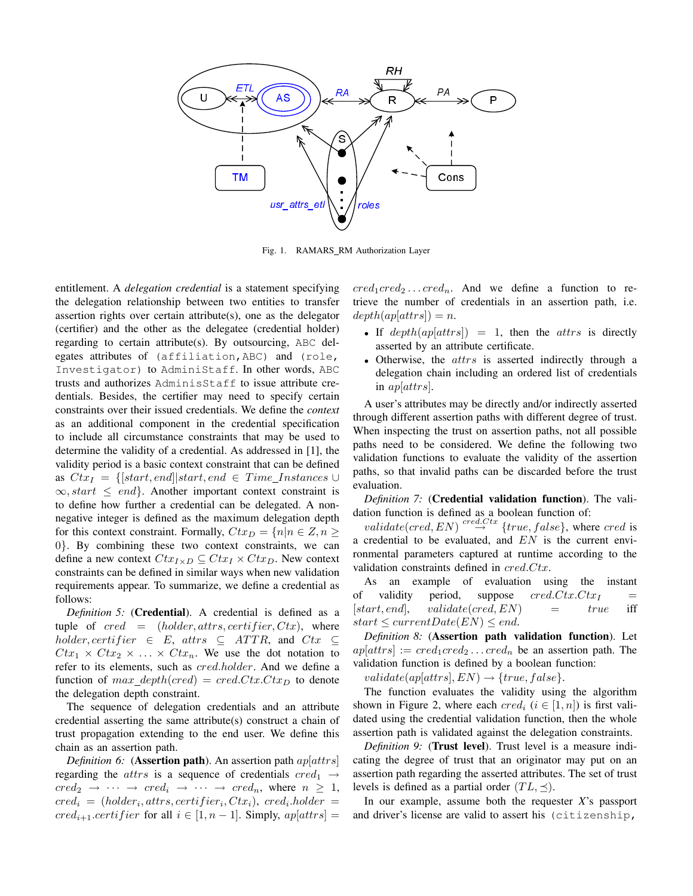

Fig. 1. RAMARS\_RM Authorization Layer

entitlement. A *delegation credential* is a statement specifying the delegation relationship between two entities to transfer assertion rights over certain attribute(s), one as the delegator (certifier) and the other as the delegatee (credential holder) regarding to certain attribute(s). By outsourcing, ABC delegates attributes of (affiliation,ABC) and (role, Investigator) to AdminiStaff. In other words, ABC trusts and authorizes AdminisStaff to issue attribute credentials. Besides, the certifier may need to specify certain constraints over their issued credentials. We define the *context* as an additional component in the credential specification to include all circumstance constraints that may be used to determine the validity of a credential. As addressed in [1], the validity period is a basic context constraint that can be defined as  $Ctx_I = \{ [start, end] | start, end \in Time\_Instantces \cup$  $\infty$ , start  $\leq$  end. Another important context constraint is to define how further a credential can be delegated. A nonnegative integer is defined as the maximum delegation depth for this context constraint. Formally,  $Ctx_D = \{n|n \in \mathbb{Z}, n \geq 1\}$ 0}. By combining these two context constraints, we can define a new context  $Ctx_{I\times D} \subseteq Ctx_I \times Ctx_D$ . New context constraints can be defined in similar ways when new validation requirements appear. To summarize, we define a credential as follows:

*Definition 5:* (Credential). A credential is defined as a tuple of cred = (holder, attrs, certifier,  $Ctx$ ), where  $holder, certifier \in E, \text{ attrs } \subseteq \text{ATTR}, \text{ and } \text{Ctx } \subseteq$  $Ctx_1 \times Ctx_2 \times \ldots \times Ctx_n$ . We use the dot notation to refer to its elements, such as cred.holder. And we define a function of *max depth(cred)* = *cred.Ctx.Ctx*<sub>D</sub> to denote the delegation depth constraint.

The sequence of delegation credentials and an attribute credential asserting the same attribute(s) construct a chain of trust propagation extending to the end user. We define this chain as an assertion path.

*Definition 6:* (**Assertion path**). An assertion path  $ap|atrs|$ regarding the *attrs* is a sequence of credentials  $\text{cred}_1 \rightarrow$  $\text{cred}_2 \rightarrow \cdots \rightarrow \text{cred}_i \rightarrow \cdots \rightarrow \text{cred}_n$ , where  $n \geq 1$ ,  $\text{cred}_i = (holder_i, \text{attrs}, \text{certifier}_i, \text{Ctx}_i), \text{ cred}_i.\text{holder} =$  $cred_{i+1}.certifier$  for all  $i \in [1, n-1]$ . Simply,  $ap[atts] =$   $cred_1cred_2 \dots cred_n$ . And we define a function to retrieve the number of credentials in an assertion path, i.e.  $depth(ap[attrs]) = n.$ 

- If  $depth(ap[attrs]) = 1$ , then the attrs is directly asserted by an attribute certificate.
- Otherwise, the attrs is asserted indirectly through a delegation chain including an ordered list of credentials in ap[attrs].

A user's attributes may be directly and/or indirectly asserted through different assertion paths with different degree of trust. When inspecting the trust on assertion paths, not all possible paths need to be considered. We define the following two validation functions to evaluate the validity of the assertion paths, so that invalid paths can be discarded before the trust evaluation.

*Definition 7:* (Credential validation function). The validation function is defined as a boolean function of:

validate(cred, EN)  $\overset{cred.Ctx}{\rightarrow}$  {true, false}, where cred is a credential to be evaluated, and  $EN$  is the current environmental parameters captured at runtime according to the validation constraints defined in cred.Ctx.

As an example of evaluation using the instant of validity period, suppose  $cred.Ctx.Ctx_I$  =  $[start, end]$ ,  $validate(cred, EN)$  =  $true$  iff  $start \leq currentDate(EN) \leq end.$ 

*Definition 8:* (Assertion path validation function). Let  $ap[attrs] := cred_1cred_2 \dots cred_n$  be an assertion path. The validation function is defined by a boolean function:

 $validate(ap[attrs], EN) \rightarrow \{true, false\}.$ 

The function evaluates the validity using the algorithm shown in Figure 2, where each  $cred_i$   $(i \in [1, n])$  is first validated using the credential validation function, then the whole assertion path is validated against the delegation constraints.

*Definition 9:* (Trust level). Trust level is a measure indicating the degree of trust that an originator may put on an assertion path regarding the asserted attributes. The set of trust levels is defined as a partial order  $(TL, \preceq)$ .

In our example, assume both the requester *X*'s passport and driver's license are valid to assert his (citizenship,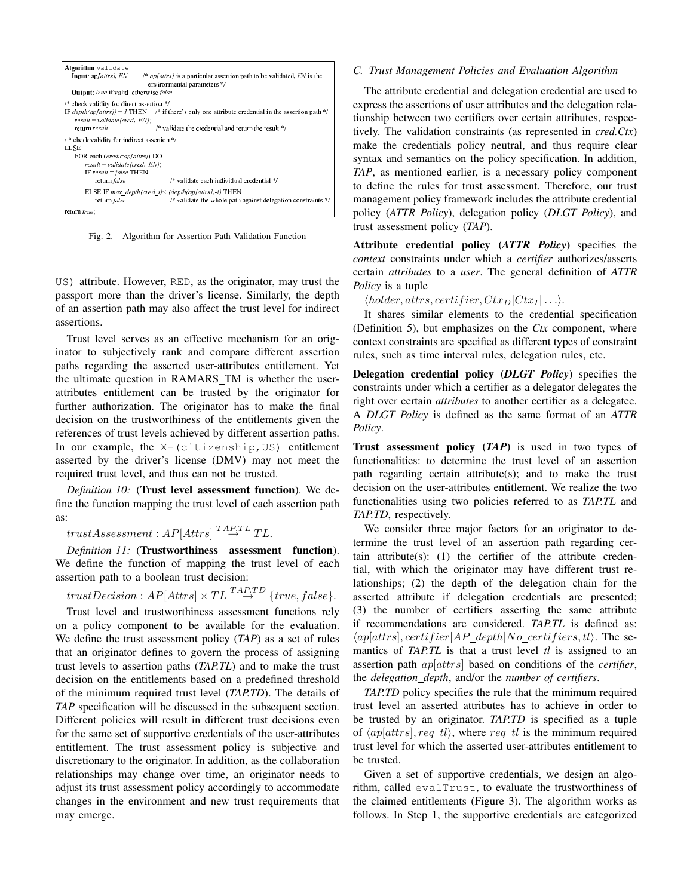| Algorithm validate<br>/* $ap/attrs/$ is a particular assertion path to be validated, EN is the<br><b>Input</b> : $ap/attrs/$ , $EN$<br>environmental parameters */<br><b>Output:</b> true if valid, otherwise false    |                                                                                                                                                          |
|------------------------------------------------------------------------------------------------------------------------------------------------------------------------------------------------------------------------|----------------------------------------------------------------------------------------------------------------------------------------------------------|
| /* check validity for direct assertion */<br>$result = validate(cred, EN)$ :<br>return $result$ ;                                                                                                                      | IF depth(ap/attrs]) = 1 THEN /* if there's only one attribute credential in the assertion path */<br>/* validate the credential and return the result */ |
| /* check validity for indirect as sertion */<br><b>ELSE</b><br>FOR each (credi∈ap[attrs]) DO<br>$result = validate(cred, EN);$<br>IF result = false THEN<br>/* validate each individual credential */<br>return false; |                                                                                                                                                          |
| ELSE IF max depth(cred $i$ ) < (depth(ap[attrs])-i) THEN<br>return false;<br>/* validate the whole path against delegation constraints */<br>return true;                                                              |                                                                                                                                                          |

Fig. 2. Algorithm for Assertion Path Validation Function

US) attribute. However, RED, as the originator, may trust the passport more than the driver's license. Similarly, the depth of an assertion path may also affect the trust level for indirect assertions.

Trust level serves as an effective mechanism for an originator to subjectively rank and compare different assertion paths regarding the asserted user-attributes entitlement. Yet the ultimate question in RAMARS TM is whether the userattributes entitlement can be trusted by the originator for further authorization. The originator has to make the final decision on the trustworthiness of the entitlements given the references of trust levels achieved by different assertion paths. In our example, the X-(citizenship, US) entitlement asserted by the driver's license (DMV) may not meet the required trust level, and thus can not be trusted.

*Definition 10:* (Trust level assessment function). We define the function mapping the trust level of each assertion path as:

 $trustAssessment: AP[Attrs] \stackrel{TAP.TL}{\rightarrow} TL.$ 

*Definition 11:* (Trustworthiness assessment function). We define the function of mapping the trust level of each assertion path to a boolean trust decision:

trustDecision :  $AP[Attrs] \times TL \overset{TAP,TD}{\rightarrow} \{true, false\}.$ 

Trust level and trustworthiness assessment functions rely on a policy component to be available for the evaluation. We define the trust assessment policy (*TAP*) as a set of rules that an originator defines to govern the process of assigning trust levels to assertion paths (*TAP.TL*) and to make the trust decision on the entitlements based on a predefined threshold of the minimum required trust level (*TAP.TD*). The details of *TAP* specification will be discussed in the subsequent section. Different policies will result in different trust decisions even for the same set of supportive credentials of the user-attributes entitlement. The trust assessment policy is subjective and discretionary to the originator. In addition, as the collaboration relationships may change over time, an originator needs to adjust its trust assessment policy accordingly to accommodate changes in the environment and new trust requirements that may emerge.

#### *C. Trust Management Policies and Evaluation Algorithm*

The attribute credential and delegation credential are used to express the assertions of user attributes and the delegation relationship between two certifiers over certain attributes, respectively. The validation constraints (as represented in *cred.Ctx*) make the credentials policy neutral, and thus require clear syntax and semantics on the policy specification. In addition, *TAP*, as mentioned earlier, is a necessary policy component to define the rules for trust assessment. Therefore, our trust management policy framework includes the attribute credential policy (*ATTR Policy*), delegation policy (*DLGT Policy*), and trust assessment policy (*TAP*).

Attribute credential policy (*ATTR Policy*) specifies the *context* constraints under which a *certifier* authorizes/asserts certain *attributes* to a *user*. The general definition of *ATTR Policy* is a tuple

 $\langle holder, attrs, certifier, Ctx_D|Ctx_I | \ldots \rangle.$ 

It shares similar elements to the credential specification (Definition 5), but emphasizes on the *Ctx* component, where context constraints are specified as different types of constraint rules, such as time interval rules, delegation rules, etc.

Delegation credential policy (*DLGT Policy*) specifies the constraints under which a certifier as a delegator delegates the right over certain *attributes* to another certifier as a delegatee. A *DLGT Policy* is defined as the same format of an *ATTR Policy*.

Trust assessment policy (*TAP*) is used in two types of functionalities: to determine the trust level of an assertion path regarding certain attribute(s); and to make the trust decision on the user-attributes entitlement. We realize the two functionalities using two policies referred to as *TAP.TL* and *TAP.TD*, respectively.

We consider three major factors for an originator to determine the trust level of an assertion path regarding certain attribute $(s)$ : (1) the certifier of the attribute credential, with which the originator may have different trust relationships; (2) the depth of the delegation chain for the asserted attribute if delegation credentials are presented; (3) the number of certifiers asserting the same attribute if recommendations are considered. *TAP.TL* is defined as:  $\langle ap|attrs]$ , certifier | AP\_depth|No\_certifiers, tl\. The semantics of *TAP.TL* is that a trust level *tl* is assigned to an assertion path ap[attrs] based on conditions of the *certifier*, the *delegation depth*, and/or the *number of certifiers*.

*TAP.TD* policy specifies the rule that the minimum required trust level an asserted attributes has to achieve in order to be trusted by an originator. *TAP.TD* is specified as a tuple of  $\langle ap[attrs], req_t]$ , where req tl is the minimum required trust level for which the asserted user-attributes entitlement to be trusted.

Given a set of supportive credentials, we design an algorithm, called evalTrust, to evaluate the trustworthiness of the claimed entitlements (Figure 3). The algorithm works as follows. In Step 1, the supportive credentials are categorized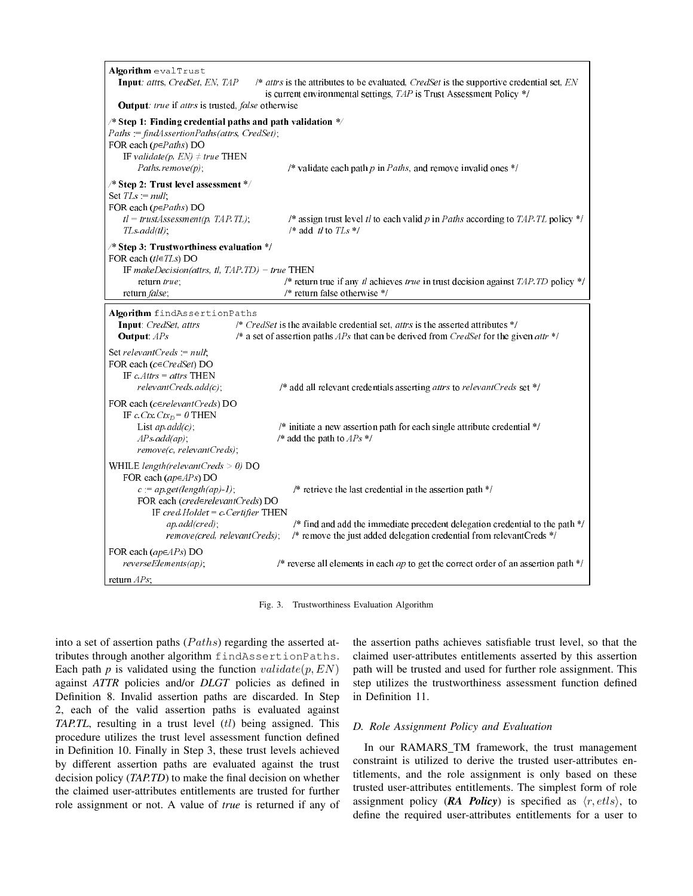| Algorithm evalTrust<br>Input: attrs, CredSet, EN, TAP                                                                                                                                                                                          | /* attrs is the attributes to be evaluated, $CredSet$ is the supportive credential set, $EN$<br>is current environmental settings, TAP is Trust Assessment Policy */          |
|------------------------------------------------------------------------------------------------------------------------------------------------------------------------------------------------------------------------------------------------|-------------------------------------------------------------------------------------------------------------------------------------------------------------------------------|
| <b>Output:</b> true if attrs is trusted, false otherwise                                                                                                                                                                                       |                                                                                                                                                                               |
| $\frac{1}{2}$ Step 1: Finding credential paths and path validation $\frac{1}{2}$<br>$Paths := findAssociationPaths (attrs, CredSet);$<br>FOR each ( $p \in Paths$ ) DO<br>IF validate(p, $EN$ ) $\neq$ true THEN<br>$Paths$ <i>remove(p)</i> ; | /* validate each path $p$ in Paths, and remove invalid ones */                                                                                                                |
| /* Step 2: Trust level assessment */<br>Set $TLs := null;$<br>FOR each ( $p \in Paths$ ) DO<br>$tl = trustAssessment(p, TAP.TL);$<br>$TLs.add(t!)$ ;                                                                                           | /* assign trust level tl to each valid p in Paths according to TAP. TL policy */<br>$/*$ add tl to TLs */                                                                     |
| /* Step 3: Trustworthiness evaluation */<br>FOR each $(t \in TLs)$ DO<br>IF makeDecision(attrs, tl, TAP.TD) = true THEN<br>return true;<br>return false;                                                                                       | /* return true if any $tl$ achieves true in trust decision against TAP. TD policy */<br>$/*$ return false otherwise $*/$                                                      |
| Algorithm findAssertionPaths<br>Input: CredSet, attrs<br>Output: APs                                                                                                                                                                           | /* $CredSet$ is the available credential set, attrs is the asserted attributes */<br>/* a set of assertion paths $APs$ that can be derived from CredSet for the given attr */ |
| Set relevant Creds $:= null$ ;<br>FOR each ( $c \in CredSet$ ) DO<br>IF $c$ <i>Attrs</i> = <i>attrs</i> THEN<br>relevantCreds.add(c);                                                                                                          | /* add all relevant credentials asserting attrs to relevantCreds set */                                                                                                       |
| FOR each ( $c \in relevantCreds$ ) DO<br>IF c.Ctx.Ctx <sub>D</sub> = 0 THEN<br>List $ap.add(c)$ ;<br>APs.add(ap);<br>remove(c, relevantCreds);                                                                                                 | /* initiate a new assertion path for each single attribute credential */<br>/* add the path to $APs$ */                                                                       |
| WHILE length(relevantCreds $>$ 0) DO<br>FOR each ( $ap \in APs$ ) DO<br>$c := ap.get(length(ap)-1);$<br>FOR each (cred∈relevantCreds) DO<br>IF cred.Holder = $c$ .Certifier THEN                                                               | /* retrieve the last credential in the assertion path */                                                                                                                      |
| ap.add(cred);<br>remove(cred, relevantCreds);                                                                                                                                                                                                  | /* find and add the immediate precedent delegation credential to the path $*/$<br>/* remove the just added delegation credential from relevantCreds */                        |
| FOR each ( $ap \in APs$ ) DO<br>$reverseElements(ap)$ ;                                                                                                                                                                                        | /* reverse all elements in each $ap$ to get the correct order of an assertion path */                                                                                         |
| return $APs$ ;                                                                                                                                                                                                                                 |                                                                                                                                                                               |

Fig. 3. Trustworthiness Evaluation Algorithm

into a set of assertion paths  $(Paths)$  regarding the asserted attributes through another algorithm findAssertionPaths. Each path  $p$  is validated using the function  $validate(p, EN)$ against *ATTR* policies and/or *DLGT* policies as defined in Definition 8. Invalid assertion paths are discarded. In Step 2, each of the valid assertion paths is evaluated against *TAP.TL*, resulting in a trust level (tl) being assigned. This procedure utilizes the trust level assessment function defined in Definition 10. Finally in Step 3, these trust levels achieved by different assertion paths are evaluated against the trust decision policy (*TAP.TD*) to make the final decision on whether the claimed user-attributes entitlements are trusted for further role assignment or not. A value of *true* is returned if any of the assertion paths achieves satisfiable trust level, so that the claimed user-attributes entitlements asserted by this assertion path will be trusted and used for further role assignment. This step utilizes the trustworthiness assessment function defined in Definition 11.

### *D. Role Assignment Policy and Evaluation*

In our RAMARS\_TM framework, the trust management constraint is utilized to derive the trusted user-attributes entitlements, and the role assignment is only based on these trusted user-attributes entitlements. The simplest form of role assignment policy (*RA Policy*) is specified as  $\langle r, \text{etls} \rangle$ , to define the required user-attributes entitlements for a user to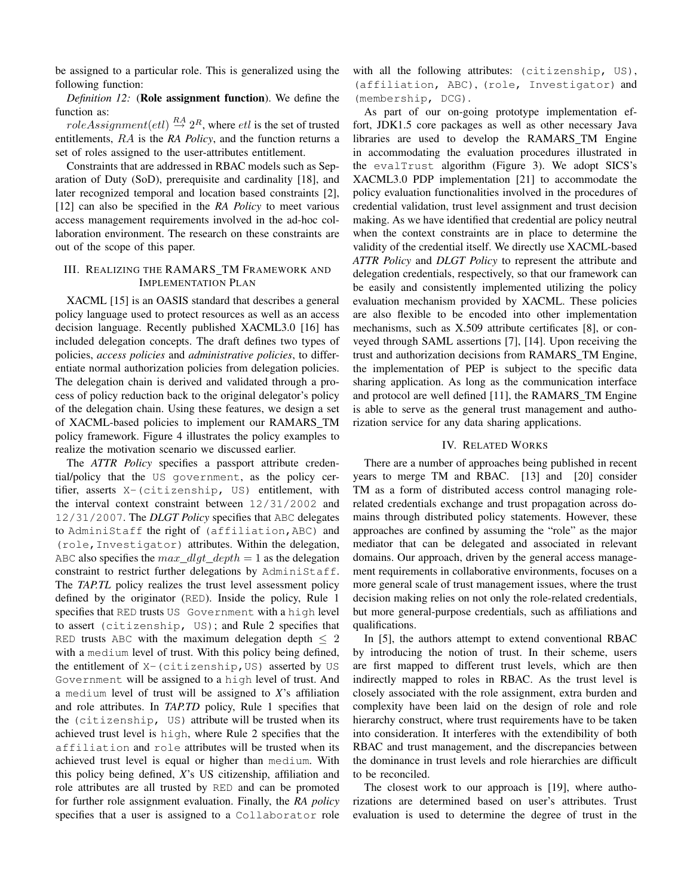be assigned to a particular role. This is generalized using the following function:

*Definition 12:* (Role assignment function). We define the function as:

 $roleAssignment(etl) \stackrel{RA}{\rightarrow} 2^R$ , where  $etl$  is the set of trusted entitlements, RA is the *RA Policy*, and the function returns a set of roles assigned to the user-attributes entitlement.

Constraints that are addressed in RBAC models such as Separation of Duty (SoD), prerequisite and cardinality [18], and later recognized temporal and location based constraints [2], [12] can also be specified in the *RA Policy* to meet various access management requirements involved in the ad-hoc collaboration environment. The research on these constraints are out of the scope of this paper.

## III. REALIZING THE RAMARS TM FRAMEWORK AND IMPLEMENTATION PLAN

XACML [15] is an OASIS standard that describes a general policy language used to protect resources as well as an access decision language. Recently published XACML3.0 [16] has included delegation concepts. The draft defines two types of policies, *access policies* and *administrative policies*, to differentiate normal authorization policies from delegation policies. The delegation chain is derived and validated through a process of policy reduction back to the original delegator's policy of the delegation chain. Using these features, we design a set of XACML-based policies to implement our RAMARS TM policy framework. Figure 4 illustrates the policy examples to realize the motivation scenario we discussed earlier.

The *ATTR Policy* specifies a passport attribute credential/policy that the US government, as the policy certifier, asserts X-(citizenship, US) entitlement, with the interval context constraint between 12/31/2002 and 12/31/2007. The *DLGT Policy* specifies that ABC delegates to AdminiStaff the right of (affiliation,ABC) and (role,Investigator) attributes. Within the delegation, ABC also specifies the max dlqt depth  $= 1$  as the delegation constraint to restrict further delegations by AdminiStaff. The *TAP.TL* policy realizes the trust level assessment policy defined by the originator (RED). Inside the policy, Rule 1 specifies that RED trusts US Government with a high level to assert (citizenship, US); and Rule 2 specifies that RED trusts ABC with the maximum delegation depth  $\leq 2$ with a medium level of trust. With this policy being defined, the entitlement of  $X-$  (citizenship, US) asserted by US Government will be assigned to a high level of trust. And a medium level of trust will be assigned to *X*'s affiliation and role attributes. In *TAP.TD* policy, Rule 1 specifies that the (citizenship, US) attribute will be trusted when its achieved trust level is high, where Rule 2 specifies that the affiliation and role attributes will be trusted when its achieved trust level is equal or higher than medium. With this policy being defined, *X*'s US citizenship, affiliation and role attributes are all trusted by RED and can be promoted for further role assignment evaluation. Finally, the *RA policy* specifies that a user is assigned to a Collaborator role with all the following attributes: (citizenship, US), (affiliation, ABC), (role, Investigator) and (membership, DCG).

As part of our on-going prototype implementation effort, JDK1.5 core packages as well as other necessary Java libraries are used to develop the RAMARS TM Engine in accommodating the evaluation procedures illustrated in the evalTrust algorithm (Figure 3). We adopt SICS's XACML3.0 PDP implementation [21] to accommodate the policy evaluation functionalities involved in the procedures of credential validation, trust level assignment and trust decision making. As we have identified that credential are policy neutral when the context constraints are in place to determine the validity of the credential itself. We directly use XACML-based *ATTR Policy* and *DLGT Policy* to represent the attribute and delegation credentials, respectively, so that our framework can be easily and consistently implemented utilizing the policy evaluation mechanism provided by XACML. These policies are also flexible to be encoded into other implementation mechanisms, such as X.509 attribute certificates [8], or conveyed through SAML assertions [7], [14]. Upon receiving the trust and authorization decisions from RAMARS TM Engine, the implementation of PEP is subject to the specific data sharing application. As long as the communication interface and protocol are well defined [11], the RAMARS\_TM Engine is able to serve as the general trust management and authorization service for any data sharing applications.

### IV. RELATED WORKS

There are a number of approaches being published in recent years to merge TM and RBAC. [13] and [20] consider TM as a form of distributed access control managing rolerelated credentials exchange and trust propagation across domains through distributed policy statements. However, these approaches are confined by assuming the "role" as the major mediator that can be delegated and associated in relevant domains. Our approach, driven by the general access management requirements in collaborative environments, focuses on a more general scale of trust management issues, where the trust decision making relies on not only the role-related credentials, but more general-purpose credentials, such as affiliations and qualifications.

In [5], the authors attempt to extend conventional RBAC by introducing the notion of trust. In their scheme, users are first mapped to different trust levels, which are then indirectly mapped to roles in RBAC. As the trust level is closely associated with the role assignment, extra burden and complexity have been laid on the design of role and role hierarchy construct, where trust requirements have to be taken into consideration. It interferes with the extendibility of both RBAC and trust management, and the discrepancies between the dominance in trust levels and role hierarchies are difficult to be reconciled.

The closest work to our approach is [19], where authorizations are determined based on user's attributes. Trust evaluation is used to determine the degree of trust in the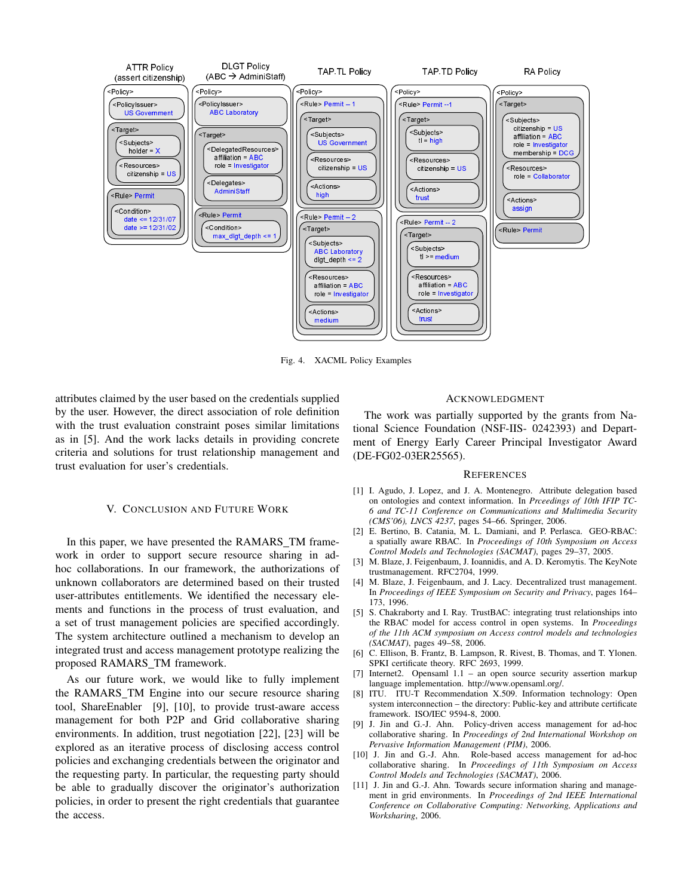

Fig. 4. XACML Policy Examples

attributes claimed by the user based on the credentials supplied by the user. However, the direct association of role definition with the trust evaluation constraint poses similar limitations as in [5]. And the work lacks details in providing concrete criteria and solutions for trust relationship management and trust evaluation for user's credentials.

#### V. CONCLUSION AND FUTURE WORK

In this paper, we have presented the RAMARS\_TM framework in order to support secure resource sharing in adhoc collaborations. In our framework, the authorizations of unknown collaborators are determined based on their trusted user-attributes entitlements. We identified the necessary elements and functions in the process of trust evaluation, and a set of trust management policies are specified accordingly. The system architecture outlined a mechanism to develop an integrated trust and access management prototype realizing the proposed RAMARS TM framework.

As our future work, we would like to fully implement the RAMARS TM Engine into our secure resource sharing tool, ShareEnabler [9], [10], to provide trust-aware access management for both P2P and Grid collaborative sharing environments. In addition, trust negotiation [22], [23] will be explored as an iterative process of disclosing access control policies and exchanging credentials between the originator and the requesting party. In particular, the requesting party should be able to gradually discover the originator's authorization policies, in order to present the right credentials that guarantee the access.

#### ACKNOWLEDGMENT

The work was partially supported by the grants from National Science Foundation (NSF-IIS- 0242393) and Department of Energy Early Career Principal Investigator Award (DE-FG02-03ER25565).

#### **REFERENCES**

- [1] I. Agudo, J. Lopez, and J. A. Montenegro. Attribute delegation based on ontologies and context information. In *Prceedings of 10th IFIP TC-6 and TC-11 Conference on Communications and Multimedia Security (CMS'06), LNCS 4237*, pages 54–66. Springer, 2006.
- [2] E. Bertino, B. Catania, M. L. Damiani, and P. Perlasca. GEO-RBAC: a spatially aware RBAC. In *Proceedings of 10th Symposium on Access Control Models and Technologies (SACMAT)*, pages 29–37, 2005.
- [3] M. Blaze, J. Feigenbaum, J. Ioannidis, and A. D. Keromytis. The KeyNote trustmanagement. RFC2704, 1999.
- [4] M. Blaze, J. Feigenbaum, and J. Lacy. Decentralized trust management. In *Proceedings of IEEE Symposium on Security and Privacy*, pages 164– 173, 1996.
- [5] S. Chakraborty and I. Ray. TrustBAC: integrating trust relationships into the RBAC model for access control in open systems. In *Proceedings of the 11th ACM symposium on Access control models and technologies (SACMAT)*, pages 49–58, 2006.
- [6] C. Ellison, B. Frantz, B. Lampson, R. Rivest, B. Thomas, and T. Ylonen. SPKI certificate theory. RFC 2693, 1999.
- [7] Internet2. Opensaml 1.1 an open source security assertion markup language implementation. http://www.opensaml.org/.
- [8] ITU. ITU-T Recommendation X.509. Information technology: Open system interconnection – the directory: Public-key and attribute certificate framework. ISO/IEC 9594-8, 2000.
- [9] J. Jin and G.-J. Ahn. Policy-driven access management for ad-hoc collaborative sharing. In *Proceedings of 2nd International Workshop on Pervasive Information Management (PIM)*, 2006.
- [10] J. Jin and G.-J. Ahn. Role-based access management for ad-hoc collaborative sharing. In *Proceedings of 11th Symposium on Access Control Models and Technologies (SACMAT)*, 2006.
- [11] J. Jin and G.-J. Ahn. Towards secure information sharing and management in grid environments. In *Proceedings of 2nd IEEE International Conference on Collaborative Computing: Networking, Applications and Worksharing*, 2006.